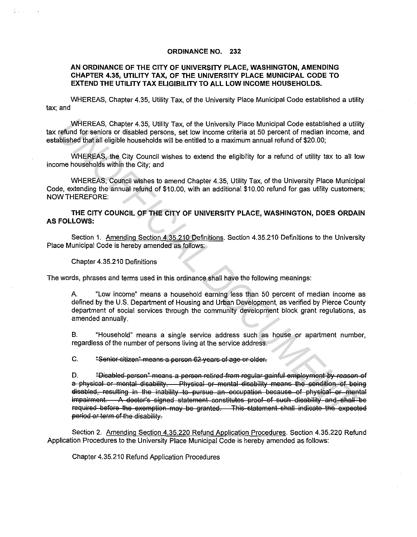## **ORDINANCE NO. 232**

## **AN ORDINANCE OF THE CITY OF UNIVERSITY PLACE, WASHINGTON, AMENDING CHAPTER 4.35, UTILITY TAX, OF THE UNIVERSITY PLACE MUNICIPAL CODE TO EXTEND THE UTILITY TAX ELIGIBILITY TO ALL LOW INCOME HOUSEHOLDS.**

WHEREAS, Chapter 4.35, Utility Tax, of the University Place Municipal Code established a utility tax; and

WHEREAS, Chapter 4.35, Utility Tax, of the University Place Municipal Code established a utility tax refund for seniors or disabled persons, set low income criteria at 50 percent of median income, and established that all eligible households will be entitled to a maximum annual refund of \$20.00;

WHEREAS, the City Council wishes to extend the eligibility for a refund of utility tax to all low income households within the City; and

WHEREAS, Council wishes to amend Chapter 4.35, Utility Tax, of the University Place Municipal Code, extending the annual refund of \$10.00, with an additional \$10.00 refund for gas utility customers; NOW THEREFORE:

**THE CITY COUNCIL OF THE CITY OF UNIVERSITY PLACE, WASHINGTON, DOES ORDAIN AS FOLLOWS:** 

Section 1. Amending Section 4.35.210 Definitions. Section 4.35.210 Definitions to the University Place Municipal Code is hereby amended as follows:

Chapter 4.35.210 Definitions

The words, phrases and terms used in this ordinance shall have the following meanings:

A "Low income" means a household earning less than 50 percent of median income as defined by the U.S. Department of Housing and Urban Development, as verified by Pierce County department of social services through the community development block grant regulations, as amended annually.

B. "Household" means a single service address such as house or apartment number, regardless of the number of persons living at the service address.

C. "Senier citizen" means a person 62 years of age or older.

D. "<del>Disabled person" means a person retired from regular gainful employment by reason of</del> a physical or mental disability. Physical or mental disability means the condition of being disabled, resulting in the inability to pursue an occupation because of physical or mental impairment. A doctor's signed statement constitutes proof of such disability and shall be required before the exemption may be granted. This statement shall indicate the expected period or term of the disability. WHEREAS, Chapter 4.35, Utility Tax, of the University Place Municipal Code established a utilit<br>
refund for seniors or disabled persons, sel tow income orders at 650 percent of median income, an<br>
dislisted that all eligibl

Section 2. Amending Section 4.35.220 Refund Application Procedures. Section 4.35.220 Refund Application Procedures to the University Place Municipal Code is hereby amended as follows:

Chapter 4.35.210 Refund Application Procedures